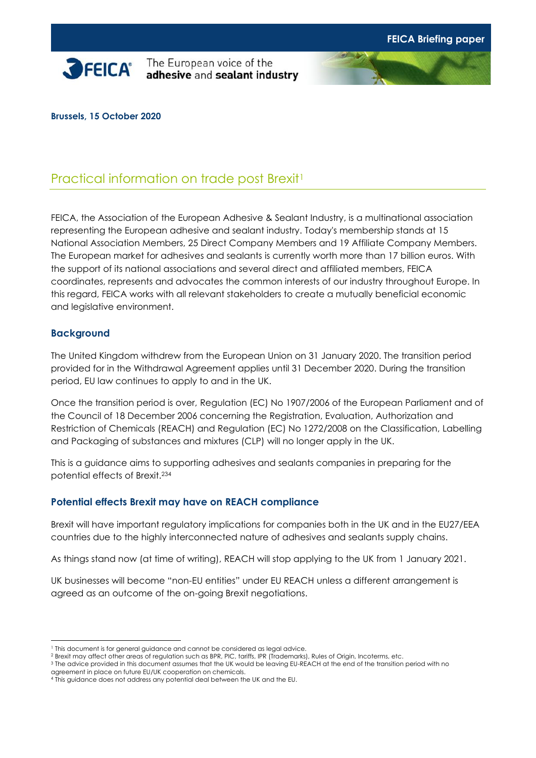

**SPEICA**<sup>\*</sup> The European voice of the adhesive and sealant industry



**Brussels, 15 October 2020**

# Practical information on trade post Brexit<sup>1</sup>

FEICA, the Association of the European Adhesive & Sealant Industry, is a multinational association representing the European adhesive and sealant industry. Today's membership stands at 15 National Association Members, 25 Direct Company Members and 19 Affiliate Company Members. The European market for adhesives and sealants is currently worth more than 17 billion euros. With the support of its national associations and several direct and affiliated members, FEICA coordinates, represents and advocates the common interests of our industry throughout Europe. In this regard, FEICA works with all relevant stakeholders to create a mutually beneficial economic and legislative environment.

### **Background**

The United Kingdom withdrew from the European Union on 31 January 2020. The transition period provided for in the Withdrawal Agreement applies until 31 December 2020. During the transition period, EU law continues to apply to and in the UK.

Once the transition period is over, Regulation (EC) No 1907/2006 of the European Parliament and of the Council of 18 December 2006 concerning the Registration, Evaluation, Authorization and Restriction of Chemicals (REACH) and Regulation (EC) No 1272/2008 on the Classification, Labelling and Packaging of substances and mixtures (CLP) will no longer apply in the UK.

This is a guidance aims to supporting adhesives and sealants companies in preparing for the potential effects of Brexit. 234

### **Potential effects Brexit may have on REACH compliance**

Brexit will have important regulatory implications for companies both in the UK and in the EU27/EEA countries due to the highly interconnected nature of adhesives and sealants supply chains.

As things stand now (at time of writing), REACH will stop applying to the UK from 1 January 2021.

UK businesses will become "non-EU entities" under EU REACH unless a different arrangement is agreed as an outcome of the on-going Brexit negotiations.

<sup>&</sup>lt;sup>1</sup> This document is for general guidance and cannot be considered as legal advice.

<sup>2</sup> Brexit may affect other areas of regulation such as BPR, PIC, tariffs, IPR (Trademarks), Rules of Origin, Incoterms, etc.

<sup>&</sup>lt;sup>3</sup> The advice provided in this document assumes that the UK would be leaving EU-REACH at the end of the transition period with no agreement in place on future EU/UK cooperation on chemicals.

<sup>4</sup> This guidance does not address any potential deal between the UK and the EU.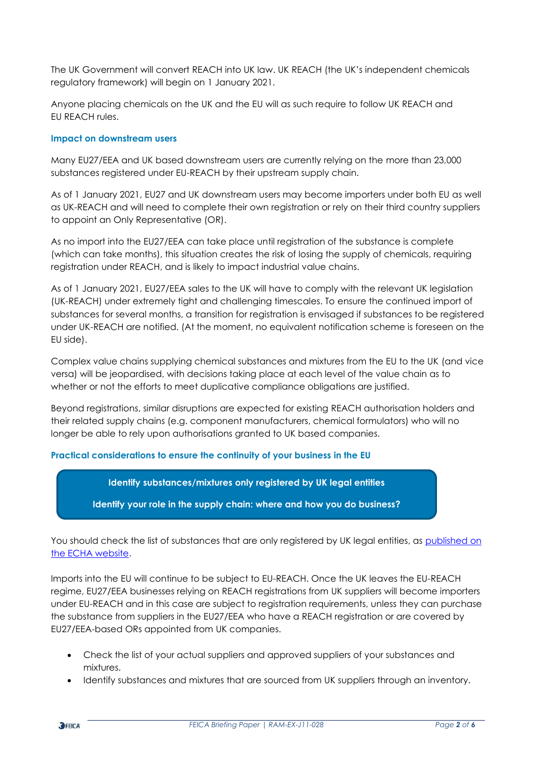The UK Government will convert REACH into UK law. UK REACH (the UK's independent chemicals regulatory framework) will begin on 1 January 2021.

Anyone placing chemicals on the UK and the EU will as such require to follow UK REACH and EU REACH rules.

#### **Impact on downstream users**

Many EU27/EEA and UK based downstream users are currently relying on the more than 23,000 substances registered under EU-REACH by their upstream supply chain.

As of 1 January 2021, EU27 and UK downstream users may become importers under both EU as well as UK-REACH and will need to complete their own registration or rely on their third country suppliers to appoint an Only Representative (OR).

As no import into the EU27/EEA can take place until registration of the substance is complete (which can take months), this situation creates the risk of losing the supply of chemicals, requiring registration under REACH, and is likely to impact industrial value chains.

As of 1 January 2021, EU27/EEA sales to the UK will have to comply with the relevant UK legislation (UK-REACH) under extremely tight and challenging timescales. To ensure the continued import of substances for several months, a transition for registration is envisaged if substances to be registered under UK-REACH are notified. (At the moment, no equivalent notification scheme is foreseen on the EU side).

Complex value chains supplying chemical substances and mixtures from the EU to the UK (and vice versa) will be jeopardised, with decisions taking place at each level of the value chain as to whether or not the efforts to meet duplicative compliance obligations are justified.

Beyond registrations, similar disruptions are expected for existing REACH authorisation holders and their related supply chains (e.g. component manufacturers, chemical formulators) who will no longer be able to rely upon authorisations granted to UK based companies.

#### **Practical considerations to ensure the continuity of your business in the EU**

**Identify substances/mixtures only registered by UK legal entities**

**Identify your role in the supply chain: where and how you do business?**

You should check the list of substances that are only registered by UK legal entities, as published on [the ECHA website.](https://echa.europa.eu/documents/10162/13552/uk_only_reg_en.xlsx/8065c461-f576-be5c-d450-eb480737de7d)

Imports into the EU will continue to be subject to EU-REACH. Once the UK leaves the EU-REACH regime, EU27/EEA businesses relying on REACH registrations from UK suppliers will become importers under EU-REACH and in this case are subject to registration requirements, unless they can purchase the substance from suppliers in the EU27/EEA who have a REACH registration or are covered by EU27/EEA-based ORs appointed from UK companies.

- Check the list of your actual suppliers and approved suppliers of your substances and mixtures.
- Identify substances and mixtures that are sourced from UK suppliers through an inventory.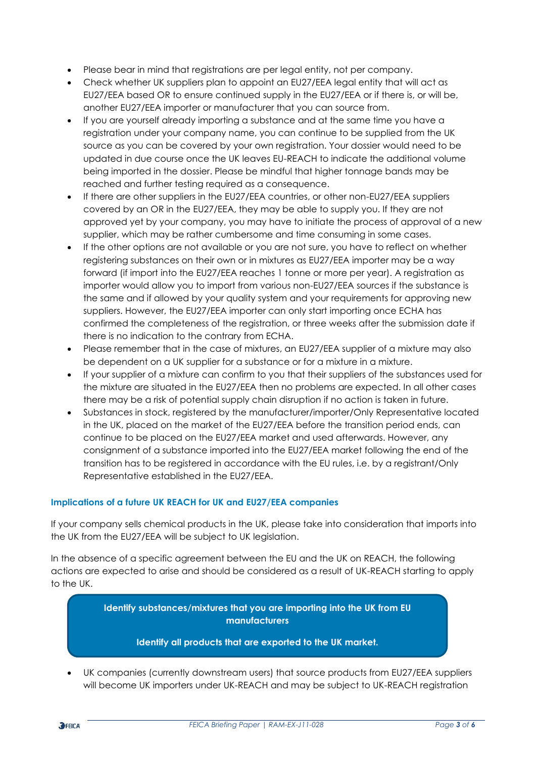- Please bear in mind that registrations are per legal entity, not per company.
- Check whether UK suppliers plan to appoint an EU27/EEA legal entity that will act as EU27/EEA based OR to ensure continued supply in the EU27/EEA or if there is, or will be, another EU27/EEA importer or manufacturer that you can source from.
- If you are yourself already importing a substance and at the same time you have a registration under your company name, you can continue to be supplied from the UK source as you can be covered by your own registration. Your dossier would need to be updated in due course once the UK leaves EU-REACH to indicate the additional volume being imported in the dossier. Please be mindful that higher tonnage bands may be reached and further testing required as a consequence.
- If there are other suppliers in the EU27/EEA countries, or other non-EU27/EEA suppliers covered by an OR in the EU27/EEA, they may be able to supply you. If they are not approved yet by your company, you may have to initiate the process of approval of a new supplier, which may be rather cumbersome and time consuming in some cases.
- If the other options are not available or you are not sure, you have to reflect on whether registering substances on their own or in mixtures as EU27/EEA importer may be a way forward (if import into the EU27/EEA reaches 1 tonne or more per year). A registration as importer would allow you to import from various non-EU27/EEA sources if the substance is the same and if allowed by your quality system and your requirements for approving new suppliers. However, the EU27/EEA importer can only start importing once ECHA has confirmed the completeness of the registration, or three weeks after the submission date if there is no indication to the contrary from ECHA.
- Please remember that in the case of mixtures, an EU27/EEA supplier of a mixture may also be dependent on a UK supplier for a substance or for a mixture in a mixture.
- If your supplier of a mixture can confirm to you that their suppliers of the substances used for the mixture are situated in the EU27/EEA then no problems are expected. In all other cases there may be a risk of potential supply chain disruption if no action is taken in future.
- Substances in stock, registered by the manufacturer/importer/Only Representative located in the UK, placed on the market of the EU27/EEA before the transition period ends, can continue to be placed on the EU27/EEA market and used afterwards. However, any consignment of a substance imported into the EU27/EEA market following the end of the transition has to be registered in accordance with the EU rules, i.e. by a registrant/Only Representative established in the EU27/EEA.

#### **Implications of a future UK REACH for UK and EU27/EEA companies**

If your company sells chemical products in the UK, please take into consideration that imports into the UK from the EU27/EEA will be subject to UK legislation.

In the absence of a specific agreement between the EU and the UK on REACH, the following actions are expected to arise and should be considered as a result of UK-REACH starting to apply to the UK.

> **Identify substances/mixtures that you are importing into the UK from EU manufacturers**

#### **Identify all products that are exported to the UK market.**

• UK companies (currently downstream users) that source products from EU27/EEA suppliers will become UK importers under UK-REACH and may be subject to UK-REACH registration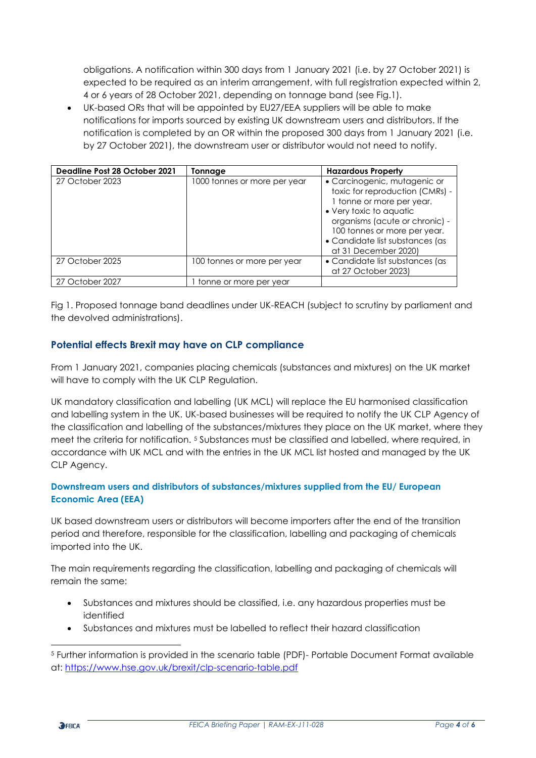obligations. A notification within 300 days from 1 January 2021 (i.e. by 27 October 2021) is expected to be required as an interim arrangement, with full registration expected within 2, 4 or 6 years of 28 October 2021, depending on tonnage band (see Fig.1).

• UK-based ORs that will be appointed by EU27/EEA suppliers will be able to make notifications for imports sourced by existing UK downstream users and distributors. If the notification is completed by an OR within the proposed 300 days from 1 January 2021 (i.e. by 27 October 2021), the downstream user or distributor would not need to notify.

| Deadline Post 28 October 2021 | Tonnage                      | <b>Hazardous Property</b>                                                                                                                                                                                                                            |
|-------------------------------|------------------------------|------------------------------------------------------------------------------------------------------------------------------------------------------------------------------------------------------------------------------------------------------|
| 27 October 2023               | 1000 tonnes or more per year | · Carcinogenic, mutagenic or<br>toxic for reproduction (CMRs) -<br>1 tonne or more per year.<br>• Very toxic to aquatic<br>organisms (acute or chronic) -<br>100 tonnes or more per year.<br>• Candidate list substances (as<br>at 31 December 2020) |
| 27 October 2025               | 100 tonnes or more per year  | • Candidate list substances (as<br>at 27 October 2023)                                                                                                                                                                                               |
| 27 October 2027               | 1 tonne or more per year     |                                                                                                                                                                                                                                                      |

Fig 1. Proposed tonnage band deadlines under UK-REACH (subject to scrutiny by parliament and the devolved administrations).

## **Potential effects Brexit may have on CLP compliance**

From 1 January 2021, companies placing chemicals (substances and mixtures) on the UK market will have to comply with the UK CLP Regulation.

UK mandatory classification and labelling (UK MCL) will replace the EU harmonised classification and labelling system in the UK. UK-based businesses will be required to notify the UK CLP Agency of the classification and labelling of the substances/mixtures they place on the UK market, where they meet the criteria for notification. <sup>5</sup> Substances must be classified and labelled, where required, in accordance with UK MCL and with the entries in the UK MCL list hosted and managed by the UK CLP Agency.

### **Downstream users and distributors of substances/mixtures supplied from the EU/ European Economic Area (EEA)**

UK based downstream users or distributors will become importers after the end of the transition period and therefore, responsible for the classification, labelling and packaging of chemicals imported into the UK.

The main requirements regarding the classification, labelling and packaging of chemicals will remain the same:

- Substances and mixtures should be classified, i.e. any hazardous properties must be identified
- Substances and mixtures must be labelled to reflect their hazard classification

<sup>5</sup> Further information is provided in the scenario table (PDF)- Portable Document Format available at:<https://www.hse.gov.uk/brexit/clp-scenario-table.pdf>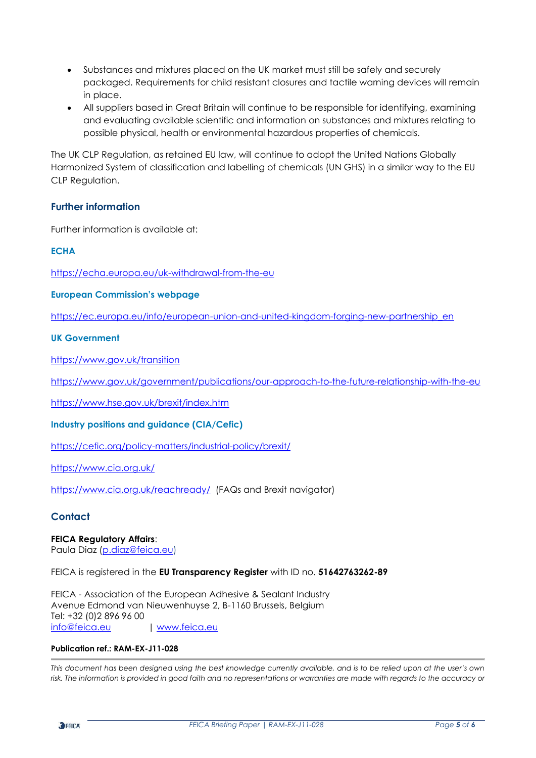- Substances and mixtures placed on the UK market must still be safely and securely packaged. Requirements for child resistant closures and tactile warning devices will remain in place.
- All suppliers based in Great Britain will continue to be responsible for identifying, examining and evaluating available scientific and information on substances and mixtures relating to possible physical, health or environmental hazardous properties of chemicals.

The UK CLP Regulation, as retained EU law, will continue to adopt the United Nations Globally Harmonized System of classification and labelling of chemicals (UN GHS) in a similar way to the EU CLP Regulation.

### **Further information**

Further information is available at:

#### **ECHA**

<https://echa.europa.eu/uk-withdrawal-from-the-eu>

#### **European Commission's webpage**

[https://ec.europa.eu/info/european-union-and-united-kingdom-forging-new-partnership\\_en](https://ec.europa.eu/info/european-union-and-united-kingdom-forging-new-partnership_en)

#### **UK Government**

<https://www.gov.uk/transition>

<https://www.gov.uk/government/publications/our-approach-to-the-future-relationship-with-the-eu>

<https://www.hse.gov.uk/brexit/index.htm>

#### **Industry positions and guidance (CIA/Cefic)**

<https://cefic.org/policy-matters/industrial-policy/brexit/>

<https://www.cia.org.uk/>

<https://www.cia.org.uk/reachready/>(FAQs and Brexit navigator)

#### **Contact**

#### **FEICA Regulatory Affairs**:

Paula Diaz [\(p.diaz@feica.eu\)](mailto:p.diaz@feica.eu)

FEICA is registered in the **EU Transparency Register** with ID no. **51642763262-89**

FEICA - Association of the European Adhesive & Sealant Industry Avenue Edmond van Nieuwenhuyse 2, B-1160 Brussels, Belgium Tel: +32 (0)2 896 96 00 [info@feica.eu](mailto:info@feica.eu) | [www.feica.eu](http://www.feica.eu/)

#### **Publication ref.: RAM-EX-J11-028**

*This document has been designed using the best knowledge currently available, and is to be relied upon at the user's own risk. The information is provided in good faith and no representations or warranties are made with regards to the accuracy or*